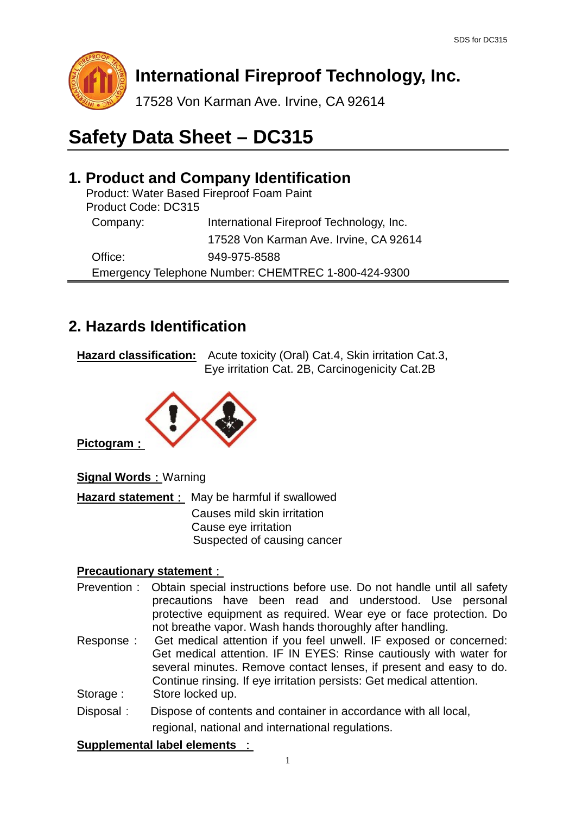

# **International Fireproof Technology, Inc.**

17528 Von Karman Ave. Irvine, CA 92614

# **Safety Data Sheet – DC315**

# **1. Product and Company Identification**

|                     | Product: Water Based Fireproof Foam Paint           |
|---------------------|-----------------------------------------------------|
| Product Code: DC315 |                                                     |
| Company:            | International Fireproof Technology, Inc.            |
|                     | 17528 Von Karman Ave. Irvine, CA 92614              |
| Office:             | 949-975-8588                                        |
|                     | Emergency Telephone Number: CHEMTREC 1-800-424-9300 |

# **2. Hazards Identification**

**Hazard classification:** Acute toxicity (Oral) Cat.4, Skin irritation Cat.3, Eye irritation Cat. 2B, Carcinogenicity Cat.2B



**Pictogram**:

**Signal Words: Warning** 

**Hazard statement**: May be harmful if swallowed Causes mild skin irritation Cause eye irritation Suspected of causing cancer

#### **Precautionary statement**:

- Prevention : Obtain special instructions before use. Do not handle until all safety precautions have been read and understood. Use personal protective equipment as required. Wear eye or face protection. Do not breathe vapor. Wash hands thoroughly after handling.
- Response : Get medical attention if you feel unwell. IF exposed or concerned: Get medical attention. IF IN EYES: Rinse cautiously with water for several minutes. Remove contact lenses, if present and easy to do. Continue rinsing. If eye irritation persists: Get medical attention. Storage : Store locked up.
- Disposal: Dispose of contents and container in accordance with all local, regional, national and international regulations.

#### **Supplemental label elements** :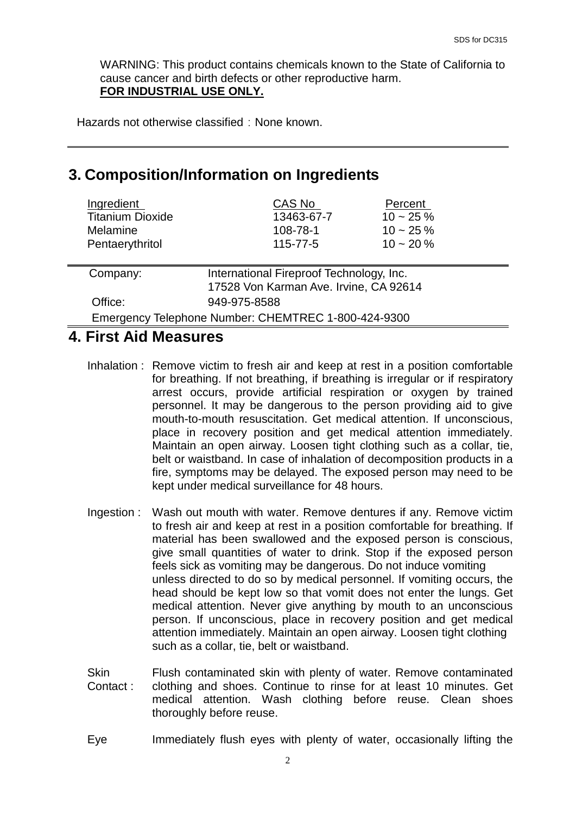WARNING: This product contains chemicals known to the State of California to cause cancer and birth defects or other reproductive harm. **FOR INDUSTRIAL USE ONLY.**

Hazards not otherwise classified: None known.

### **3. Composition/Information on Ingredients**

| Ingredient              | CAS No         | Percent      |
|-------------------------|----------------|--------------|
| <b>Titanium Dioxide</b> | 13463-67-7     | $10 - 25 \%$ |
| <b>Melamine</b>         | 108-78-1       | $10 - 25 \%$ |
| Pentaerythritol         | $115 - 77 - 5$ | $10 - 20 \%$ |
|                         |                |              |
|                         |                |              |

| Company: | International Fireproof Technology, Inc.            |  |
|----------|-----------------------------------------------------|--|
|          | 17528 Von Karman Ave. Irvine, CA 92614              |  |
| Office:  | 949-975-8588                                        |  |
|          | Emergency Telephone Number: CHEMTREC 1-800-424-9300 |  |

#### **4. First Aid Measures**

- Inhalation : Remove victim to fresh air and keep at rest in a position comfortable for breathing. If not breathing, if breathing is irregular or if respiratory arrest occurs, provide artificial respiration or oxygen by trained personnel. It may be dangerous to the person providing aid to give mouth-to-mouth resuscitation. Get medical attention. If unconscious, place in recovery position and get medical attention immediately. Maintain an open airway. Loosen tight clothing such as a collar, tie, belt or waistband. In case of inhalation of decomposition products in a fire, symptoms may be delayed. The exposed person may need to be kept under medical surveillance for 48 hours.
- Ingestion : Wash out mouth with water. Remove dentures if any. Remove victim to fresh air and keep at rest in a position comfortable for breathing. If material has been swallowed and the exposed person is conscious, give small quantities of water to drink. Stop if the exposed person feels sick as vomiting may be dangerous. Do not induce vomiting unless directed to do so by medical personnel. If vomiting occurs, the head should be kept low so that vomit does not enter the lungs. Get medical attention. Never give anything by mouth to an unconscious person. If unconscious, place in recovery position and get medical attention immediately. Maintain an open airway. Loosen tight clothing such as a collar, tie, belt or waistband.
- **Skin** Contact : Flush contaminated skin with plenty of water. Remove contaminated clothing and shoes. Continue to rinse for at least 10 minutes. Get medical attention. Wash clothing before reuse. Clean shoes thoroughly before reuse.
- Eye Immediately flush eyes with plenty of water, occasionally lifting the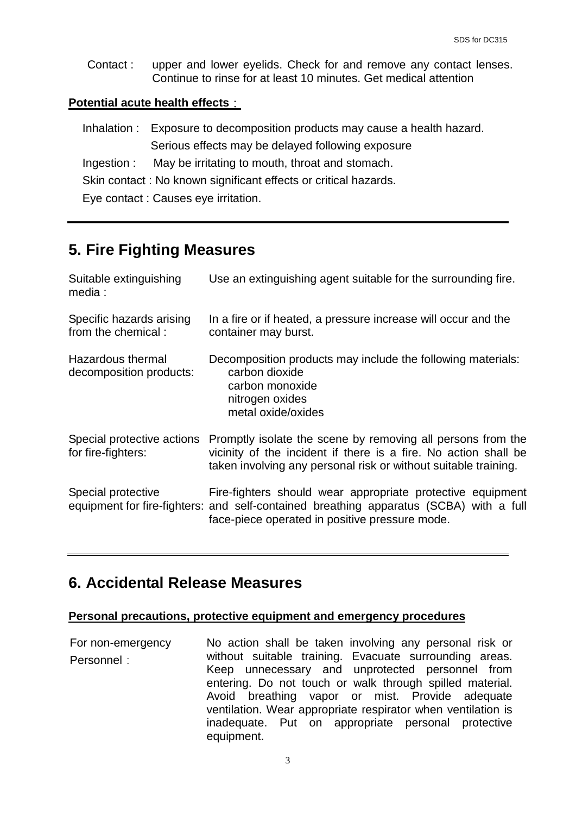Contact : upper and lower eyelids. Check for and remove any contact lenses. Continue to rinse for at least 10 minutes. Get medical attention

#### **Potential acute health effects**:

| Inhalation : Exposure to decomposition products may cause a health hazard. |
|----------------------------------------------------------------------------|
| Serious effects may be delayed following exposure                          |
| Ingestion : May be irritating to mouth, throat and stomach.                |
| Skin contact: No known significant effects or critical hazards.            |
| Eye contact: Causes eye irritation.                                        |

## **5. Fire Fighting Measures**

| Suitable extinguishing<br>media :                | Use an extinguishing agent suitable for the surrounding fire.                                                                                                                                          |
|--------------------------------------------------|--------------------------------------------------------------------------------------------------------------------------------------------------------------------------------------------------------|
| Specific hazards arising<br>from the chemical:   | In a fire or if heated, a pressure increase will occur and the<br>container may burst.                                                                                                                 |
| Hazardous thermal<br>decomposition products:     | Decomposition products may include the following materials:<br>carbon dioxide<br>carbon monoxide<br>nitrogen oxides<br>metal oxide/oxides                                                              |
| Special protective actions<br>for fire-fighters: | Promptly isolate the scene by removing all persons from the<br>vicinity of the incident if there is a fire. No action shall be<br>taken involving any personal risk or without suitable training.      |
| Special protective                               | Fire-fighters should wear appropriate protective equipment<br>equipment for fire-fighters: and self-contained breathing apparatus (SCBA) with a full<br>face-piece operated in positive pressure mode. |

### **6. Accidental Release Measures**

#### **Personal precautions, protective equipment and emergency procedures**

For non-emergency Personnel: No action shall be taken involving any personal risk or without suitable training. Evacuate surrounding areas. Keep unnecessary and unprotected personnel from entering. Do not touch or walk through spilled material. Avoid breathing vapor or mist. Provide adequate ventilation. Wear appropriate respirator when ventilation is inadequate. Put on appropriate personal protective equipment.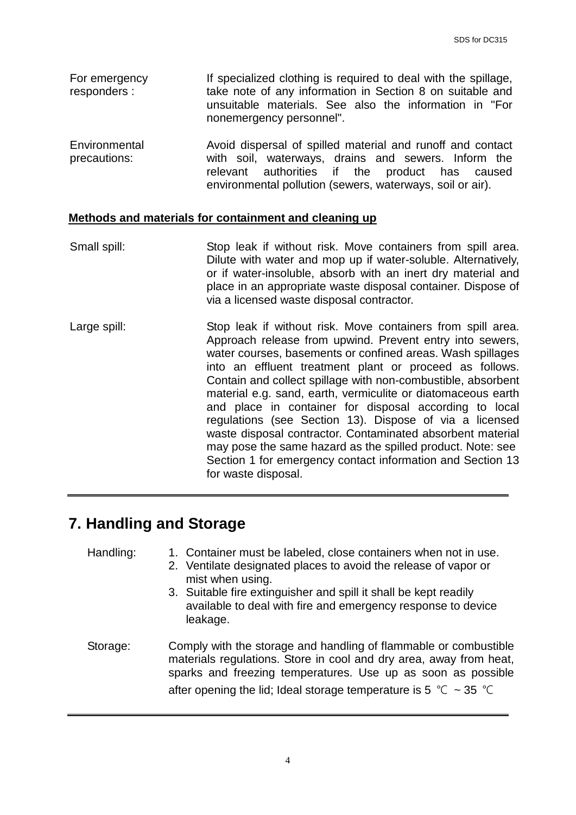- For emergency responders : If specialized clothing is required to deal with the spillage, take note of any information in Section 8 on suitable and unsuitable materials. See also the information in "For nonemergency personnel".
- Environmental precautions: Avoid dispersal of spilled material and runoff and contact with soil, waterways, drains and sewers. Inform the relevant authorities if the product has caused environmental pollution (sewers, waterways, soil or air).

#### **Methods and materials for containment and cleaning up**

- Small spill: Stop leak if without risk. Move containers from spill area. Dilute with water and mop up if water-soluble. Alternatively, or if water-insoluble, absorb with an inert dry material and place in an appropriate waste disposal container. Dispose of via a licensed waste disposal contractor.
- Large spill: Stop leak if without risk. Move containers from spill area. Approach release from upwind. Prevent entry into sewers, water courses, basements or confined areas. Wash spillages into an effluent treatment plant or proceed as follows. Contain and collect spillage with non-combustible, absorbent material e.g. sand, earth, vermiculite or diatomaceous earth and place in container for disposal according to local regulations (see Section 13). Dispose of via a licensed waste disposal contractor. Contaminated absorbent material may pose the same hazard as the spilled product. Note: see Section 1 for emergency contact information and Section 13 for waste disposal.

### **7. Handling and Storage**

Handling: 1. Container must be labeled, close containers when not in use.

- 2. Ventilate designated places to avoid the release of vapor or mist when using.
- 3. Suitable fire extinguisher and spill it shall be kept readily available to deal with fire and emergency response to device leakage.
- Storage: Comply with the storage and handling of flammable or combustible materials regulations. Store in cool and dry area, away from heat, sparks and freezing temperatures. Use up as soon as possible after opening the lid; Ideal storage temperature is 5 °C ~ 35 °C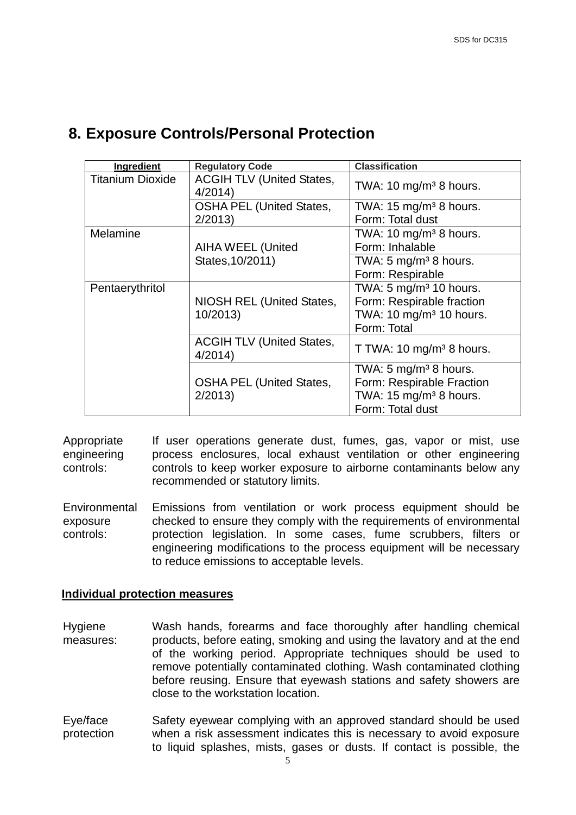| Ingredient              | <b>Regulatory Code</b>                     | <b>Classification</b>                |
|-------------------------|--------------------------------------------|--------------------------------------|
| <b>Titanium Dioxide</b> | <b>ACGIH TLV (United States,</b><br>4/2014 | TWA: 10 mg/m <sup>3</sup> 8 hours.   |
|                         | <b>OSHA PEL (United States,</b>            | TWA: $15 \text{ mg/m}^3$ 8 hours.    |
|                         | 2/2013                                     | Form: Total dust                     |
| <b>Melamine</b>         |                                            | TWA: 10 mg/m <sup>3</sup> 8 hours.   |
|                         | <b>AIHA WEEL (United</b>                   | Form: Inhalable                      |
|                         | States, 10/2011)                           | TWA: 5 mg/m <sup>3</sup> 8 hours.    |
|                         |                                            | Form: Respirable                     |
| Pentaerythritol         |                                            | TWA: 5 mg/m <sup>3</sup> 10 hours.   |
|                         | NIOSH REL (United States,                  | Form: Respirable fraction            |
|                         | 10/2013)                                   | TWA: 10 mg/m <sup>3</sup> 10 hours.  |
|                         |                                            | Form: Total                          |
|                         | <b>ACGIH TLV (United States,</b><br>4/2014 | T TWA: 10 mg/m <sup>3</sup> 8 hours. |
|                         |                                            | TWA: 5 mg/m <sup>3</sup> 8 hours.    |
|                         | <b>OSHA PEL (United States,</b>            | Form: Respirable Fraction            |
|                         | 2/2013                                     | TWA: 15 mg/m <sup>3</sup> 8 hours.   |
|                         |                                            | Form: Total dust                     |

# **8. Exposure Controls/Personal Protection**

Appropriate engineering controls: If user operations generate dust, fumes, gas, vapor or mist, use process enclosures, local exhaust ventilation or other engineering controls to keep worker exposure to airborne contaminants below any recommended or statutory limits.

**Environmental** exposure controls: Emissions from ventilation or work process equipment should be checked to ensure they comply with the requirements of environmental protection legislation. In some cases, fume scrubbers, filters or engineering modifications to the process equipment will be necessary to reduce emissions to acceptable levels.

#### **Individual protection measures**

- Hygiene measures: Wash hands, forearms and face thoroughly after handling chemical products, before eating, smoking and using the lavatory and at the end of the working period. Appropriate techniques should be used to remove potentially contaminated clothing. Wash contaminated clothing before reusing. Ensure that eyewash stations and safety showers are close to the workstation location.
- Eye/face protection Safety eyewear complying with an approved standard should be used when a risk assessment indicates this is necessary to avoid exposure to liquid splashes, mists, gases or dusts. If contact is possible, the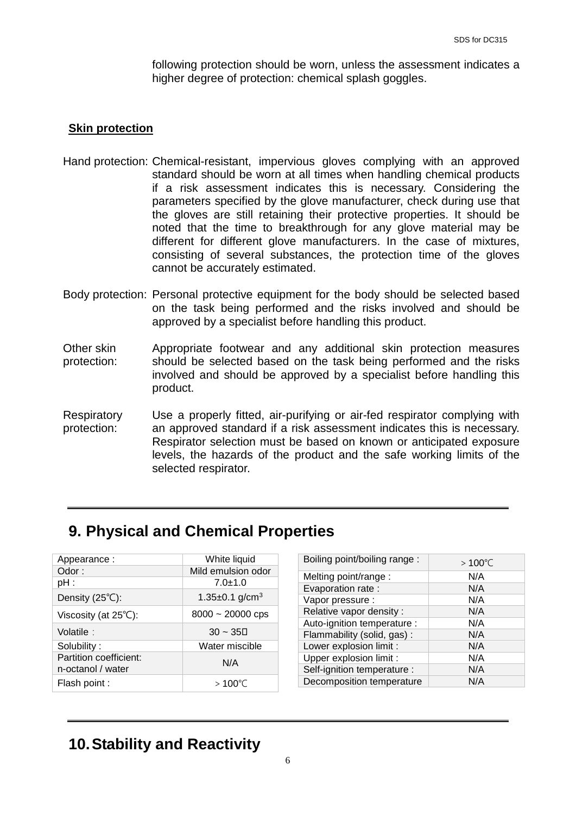following protection should be worn, unless the assessment indicates a higher degree of protection: chemical splash goggles.

#### **Skin protection**

- Hand protection: Chemical-resistant, impervious gloves complying with an approved standard should be worn at all times when handling chemical products if a risk assessment indicates this is necessary. Considering the parameters specified by the glove manufacturer, check during use that the gloves are still retaining their protective properties. It should be noted that the time to breakthrough for any glove material may be different for different glove manufacturers. In the case of mixtures, consisting of several substances, the protection time of the gloves cannot be accurately estimated.
- Body protection: Personal protective equipment for the body should be selected based on the task being performed and the risks involved and should be approved by a specialist before handling this product.
- Other skin protection: Appropriate footwear and any additional skin protection measures should be selected based on the task being performed and the risks involved and should be approved by a specialist before handling this product.
- **Respiratory** protection: Use a properly fitted, air-purifying or air-fed respirator complying with an approved standard if a risk assessment indicates this is necessary. Respirator selection must be based on known or anticipated exposure levels, the hazards of the product and the safe working limits of the selected respirator.

### **9. Physical and Chemical Properties**

| Appearance:                                 | White liquid                     |
|---------------------------------------------|----------------------------------|
| Odor:                                       | Mild emulsion odor               |
| $pH$ :                                      | $7.0 \pm 1.0$                    |
| Density $(25^{\circ}C)$ :                   | 1.35 $\pm$ 0.1 g/cm <sup>3</sup> |
| Viscosity (at $25^{\circ}$ C):              | $8000 - 20000$ cps               |
| Volatile:                                   | $30 - 35$                        |
| Solubility:                                 | Water miscible                   |
| Partition coefficient:<br>n-octanol / water | N/A                              |
| Flash point :                               | $>100^{\circ}$ C                 |

| Boiling point/boiling range: | $>100^{\circ}$ ○ |
|------------------------------|------------------|
| Melting point/range:         | N/A              |
| Evaporation rate :           | N/A              |
| Vapor pressure :             | N/A              |
| Relative vapor density:      | N/A              |
| Auto-ignition temperature :  | N/A              |
| Flammability (solid, gas):   | N/A              |
| Lower explosion limit :      | N/A              |
| Upper explosion limit :      | N/A              |
| Self-ignition temperature :  | N/A              |
| Decomposition temperature    | N/A              |

# **10.Stability and Reactivity**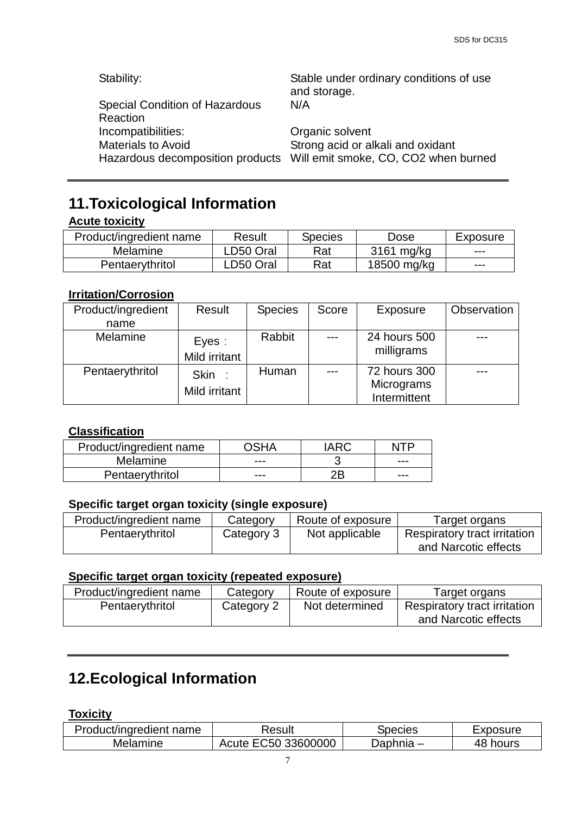Stability: Stable under ordinary conditions of use

| and storage.<br>N/A                                                      |
|--------------------------------------------------------------------------|
| Organic solvent                                                          |
| Strong acid or alkali and oxidant                                        |
| Hazardous decomposition products    Vill emit smoke, CO, CO2 when burned |
|                                                                          |

# **11.Toxicological Information**

#### **Acute toxicity**

| Product/ingredient name | Result    | <b>Species</b> | Dose        | Exposure |
|-------------------------|-----------|----------------|-------------|----------|
| <b>Melamine</b>         | ∟D50 Oral | Rat            | 3161 mg/kg  | $-- -$   |
| Pentaerythritol         | ∟D50 Oral | Rat            | 18500 mg/kg | $-- -$   |

#### **Irritation/Corrosion**

| Product/ingredient | Result        | <b>Species</b> | Score | Exposure     | Observation |
|--------------------|---------------|----------------|-------|--------------|-------------|
| name               |               |                |       |              |             |
| <b>Melamine</b>    | Eyes:         | Rabbit         | $---$ | 24 hours 500 |             |
|                    | Mild irritant |                |       | milligrams   |             |
| Pentaerythritol    | Skin:         | Human          | ---   | 72 hours 300 |             |
|                    | Mild irritant |                |       | Micrograms   |             |
|                    |               |                |       | Intermittent |             |

#### **Classification**

| Product/ingredient name |     |     |
|-------------------------|-----|-----|
| <b>Melamine</b>         | --- | --- |
| Pentaerythritol         | --- | --- |

#### **Specific target organ toxicity (single exposure)**

| Product/ingredient name | Category   | Route of exposure | Target organs                       |
|-------------------------|------------|-------------------|-------------------------------------|
| Pentaerythritol         | Category 3 | Not applicable    | <b>Respiratory tract irritation</b> |
|                         |            |                   | and Narcotic effects                |

#### **Specific target organ toxicity (repeated exposure)**

| Product/ingredient name | Category   | Route of exposure | Target organs                                               |
|-------------------------|------------|-------------------|-------------------------------------------------------------|
| Pentaerythritol         | Category 2 | Not determined    | <b>Respiratory tract irritation</b><br>and Narcotic effects |

# **12.Ecological Information**

#### **Toxicity**

| Product/ingredient name | Result              | Species   | Exposure |
|-------------------------|---------------------|-----------|----------|
| Melamine                | Acute EC50 33600000 | Daphnia – | 48 hours |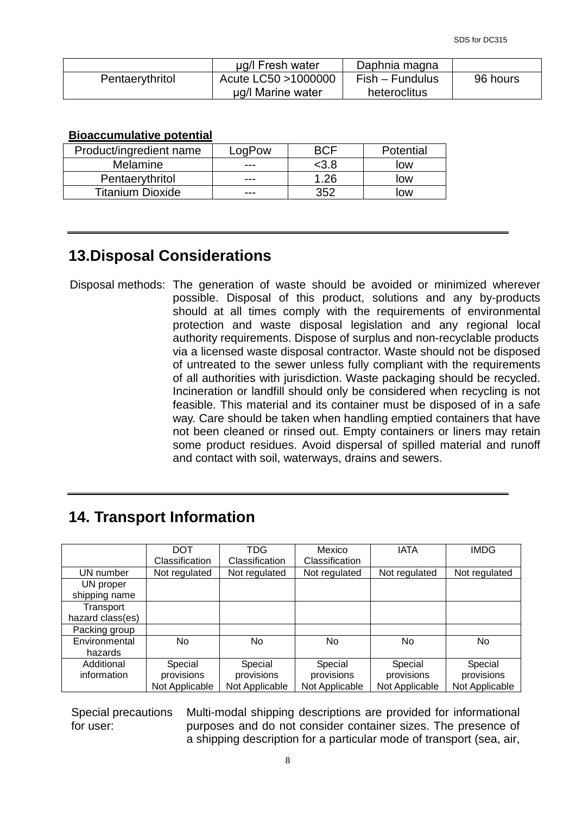|                 | ug/l Fresh water     | Daphnia magna   |          |
|-----------------|----------------------|-----------------|----------|
| Pentaerythritol | Acute LC50 > 1000000 | Fish – Fundulus | 96 hours |
|                 | µg/l Marine water    | heteroclitus    |          |

#### **Bioaccumulative potential**

| Product/ingredient name | LogPow |      | Potential |
|-------------------------|--------|------|-----------|
| Melamine                | ---    | <3.8 | low       |
| Pentaerythritol         | ---    | 1.26 | low       |
| <b>Titanium Dioxide</b> | ---    | 352  | low       |

# **13.Disposal Considerations**

Disposal methods: The generation of waste should be avoided or minimized wherever possible. Disposal of this product, solutions and any by-products should at all times comply with the requirements of environmental protection and waste disposal legislation and any regional local authority requirements. Dispose of surplus and non-recyclable products via a licensed waste disposal contractor. Waste should not be disposed of untreated to the sewer unless fully compliant with the requirements of all authorities with jurisdiction. Waste packaging should be recycled. Incineration or landfill should only be considered when recycling is not feasible. This material and its container must be disposed of in a safe way. Care should be taken when handling emptied containers that have not been cleaned or rinsed out. Empty containers or liners may retain some product residues. Avoid dispersal of spilled material and runoff and contact with soil, waterways, drains and sewers.

### **14. Transport Information**

|                  | DOT            | TDG            | Mexico         | <b>IATA</b>    | <b>IMDG</b>    |
|------------------|----------------|----------------|----------------|----------------|----------------|
|                  | Classification | Classification | Classification |                |                |
| UN number        | Not regulated  | Not regulated  | Not regulated  | Not regulated  | Not regulated  |
| UN proper        |                |                |                |                |                |
| shipping name    |                |                |                |                |                |
| Transport        |                |                |                |                |                |
| hazard class(es) |                |                |                |                |                |
| Packing group    |                |                |                |                |                |
| Environmental    | No             | No             | No.            | No             | No.            |
| hazards          |                |                |                |                |                |
| Additional       | Special        | Special        | Special        | Special        | Special        |
| information      | provisions     | provisions     | provisions     | provisions     | provisions     |
|                  | Not Applicable | Not Applicable | Not Applicable | Not Applicable | Not Applicable |

Special precautions for user: Multi-modal shipping descriptions are provided for informational purposes and do not consider container sizes. The presence of a shipping description for a particular mode of transport (sea, air,